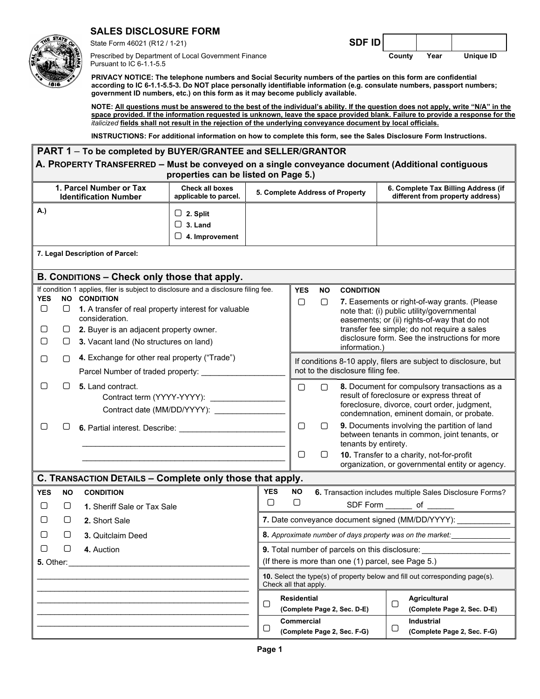## **SALES DISCLOSURE FORM**

Prescribed by Department of Local Government Finance **County Year Unique ID**  Pursuant to IC 6-1.1-5.5

State Form 46021 (R12 / 1-21) **SDF ID** 

**PRIVACY NOTICE: The telephone numbers and Social Security numbers of the parties on this form are confidential according to IC 6-1.1-5.5-3. Do NOT place personally identifiable information (e.g. consulate numbers, passport numbers; government ID numbers, etc.) on this form as it may become publicly available.** 

**NOTE: All questions must be answered to the best of the individual's ability. If the question does not apply, write "N/A" in the space provided. If the information requested is unknown, leave the space provided blank. Failure to provide a response for the**  *italicized* **fields shall not result in the rejection of the underlying conveyance document by local officials.** 

**INSTRUCTIONS: For additional information on how to complete this form, see the Sales Disclosure Form Instructions.** 

| PART 1 - To be completed by BUYER/GRANTEE and SELLER/GRANTOR                                                                                                                                                                                                                                                          |                                                          |                                                                                             |                      |                                                                                                      |                                                                                                                       |                                                     |                                                                                                                                                                                                                                             |                                                                                                                                                                                                                                                                                         |  |  |
|-----------------------------------------------------------------------------------------------------------------------------------------------------------------------------------------------------------------------------------------------------------------------------------------------------------------------|----------------------------------------------------------|---------------------------------------------------------------------------------------------|----------------------|------------------------------------------------------------------------------------------------------|-----------------------------------------------------------------------------------------------------------------------|-----------------------------------------------------|---------------------------------------------------------------------------------------------------------------------------------------------------------------------------------------------------------------------------------------------|-----------------------------------------------------------------------------------------------------------------------------------------------------------------------------------------------------------------------------------------------------------------------------------------|--|--|
| A. PROPERTY TRANSFERRED - Must be conveyed on a single conveyance document (Additional contiguous<br>properties can be listed on Page 5.)                                                                                                                                                                             |                                                          |                                                                                             |                      |                                                                                                      |                                                                                                                       |                                                     |                                                                                                                                                                                                                                             |                                                                                                                                                                                                                                                                                         |  |  |
| 1. Parcel Number or Tax<br><b>Check all boxes</b><br><b>Identification Number</b><br>applicable to parcel.                                                                                                                                                                                                            |                                                          |                                                                                             |                      | 5. Complete Address of Property                                                                      |                                                                                                                       |                                                     |                                                                                                                                                                                                                                             | 6. Complete Tax Billing Address (if<br>different from property address)                                                                                                                                                                                                                 |  |  |
| A.)                                                                                                                                                                                                                                                                                                                   |                                                          | $\Box$ 2. Split<br>$\Box$ 3. Land<br>$\Box$ 4. Improvement                                  |                      |                                                                                                      |                                                                                                                       |                                                     |                                                                                                                                                                                                                                             |                                                                                                                                                                                                                                                                                         |  |  |
|                                                                                                                                                                                                                                                                                                                       | 7. Legal Description of Parcel:                          |                                                                                             |                      |                                                                                                      |                                                                                                                       |                                                     |                                                                                                                                                                                                                                             |                                                                                                                                                                                                                                                                                         |  |  |
|                                                                                                                                                                                                                                                                                                                       | B. CONDITIONS - Check only those that apply.             |                                                                                             |                      |                                                                                                      |                                                                                                                       |                                                     |                                                                                                                                                                                                                                             |                                                                                                                                                                                                                                                                                         |  |  |
| If condition 1 applies, filer is subject to disclosure and a disclosure filing fee.<br><b>NO CONDITION</b><br><b>YES</b><br>$\Box$<br>1. A transfer of real property interest for valuable<br>O<br>consideration.<br>О<br>2. Buyer is an adjacent property owner.<br>О<br>3. Vacant land (No structures on land)<br>U |                                                          |                                                                                             |                      | <b>YES</b><br>$\Box$                                                                                 | NO.<br>$\Box$                                                                                                         | <b>CONDITION</b><br>information.)                   | 7. Easements or right-of-way grants. (Please<br>note that: (i) public utility/governmental<br>easements; or (ii) rights-of-way that do not<br>transfer fee simple; do not require a sales<br>disclosure form. See the instructions for more |                                                                                                                                                                                                                                                                                         |  |  |
| 4. Exchange for other real property ("Trade")<br>O<br>∩<br>Parcel Number of traded property: _____________                                                                                                                                                                                                            |                                                          |                                                                                             |                      | If conditions 8-10 apply, filers are subject to disclosure, but<br>not to the disclosure filing fee. |                                                                                                                       |                                                     |                                                                                                                                                                                                                                             |                                                                                                                                                                                                                                                                                         |  |  |
| U<br>О                                                                                                                                                                                                                                                                                                                | 5. Land contract.                                        | Contract term (YYYY-YYYY): _________________<br>Contract date (MM/DD/YYYY): _______________ |                      | $\Box$<br>$\Box$                                                                                     | $\Box$<br>0                                                                                                           |                                                     |                                                                                                                                                                                                                                             | 8. Document for compulsory transactions as a<br>result of foreclosure or express threat of<br>foreclosure, divorce, court order, judgment,<br>condemnation, eminent domain, or probate.<br>9. Documents involving the partition of land<br>between tenants in common, joint tenants, or |  |  |
|                                                                                                                                                                                                                                                                                                                       |                                                          |                                                                                             |                      | $\Box$                                                                                               | O                                                                                                                     | tenants by entirety.                                |                                                                                                                                                                                                                                             | 10. Transfer to a charity, not-for-profit<br>organization, or governmental entity or agency.                                                                                                                                                                                            |  |  |
|                                                                                                                                                                                                                                                                                                                       | C. TRANSACTION DETAILS - Complete only those that apply. |                                                                                             |                      |                                                                                                      |                                                                                                                       |                                                     |                                                                                                                                                                                                                                             |                                                                                                                                                                                                                                                                                         |  |  |
| <b>YES</b><br>ΝO<br>$\Box$<br>O                                                                                                                                                                                                                                                                                       | <b>CONDITION</b><br>1. Sheriff Sale or Tax Sale          |                                                                                             | <b>YES</b><br>$\Box$ | <b>NO</b><br>$\Box$                                                                                  |                                                                                                                       |                                                     |                                                                                                                                                                                                                                             | 6. Transaction includes multiple Sales Disclosure Forms?                                                                                                                                                                                                                                |  |  |
| O<br>□                                                                                                                                                                                                                                                                                                                | 2. Short Sale                                            |                                                                                             |                      | 7. Date conveyance document signed (MM/DD/YYYY): _____________                                       |                                                                                                                       |                                                     |                                                                                                                                                                                                                                             |                                                                                                                                                                                                                                                                                         |  |  |
| U<br>⋃                                                                                                                                                                                                                                                                                                                | 3. Quitclaim Deed                                        |                                                                                             |                      |                                                                                                      | 8. Approximate number of days property was on the market:                                                             |                                                     |                                                                                                                                                                                                                                             |                                                                                                                                                                                                                                                                                         |  |  |
| $\Box$<br>0<br>4. Auction                                                                                                                                                                                                                                                                                             |                                                          |                                                                                             |                      | 9. Total number of parcels on this disclosure:                                                       |                                                                                                                       |                                                     |                                                                                                                                                                                                                                             |                                                                                                                                                                                                                                                                                         |  |  |
| <b>5. Other:</b>                                                                                                                                                                                                                                                                                                      |                                                          |                                                                                             |                      |                                                                                                      |                                                                                                                       | (If there is more than one (1) parcel, see Page 5.) |                                                                                                                                                                                                                                             |                                                                                                                                                                                                                                                                                         |  |  |
|                                                                                                                                                                                                                                                                                                                       |                                                          |                                                                                             |                      |                                                                                                      | 10. Select the type(s) of property below and fill out corresponding page(s).<br>Check all that apply.                 |                                                     |                                                                                                                                                                                                                                             |                                                                                                                                                                                                                                                                                         |  |  |
| $\Box$                                                                                                                                                                                                                                                                                                                |                                                          |                                                                                             |                      |                                                                                                      | <b>Residential</b><br><b>Agricultural</b><br>$\bigcirc$<br>(Complete Page 2, Sec. D-E)<br>(Complete Page 2, Sec. D-E) |                                                     |                                                                                                                                                                                                                                             |                                                                                                                                                                                                                                                                                         |  |  |
| $\Box$                                                                                                                                                                                                                                                                                                                |                                                          |                                                                                             |                      | Commercial                                                                                           |                                                                                                                       | (Complete Page 2, Sec. F-G)                         | $\Box$                                                                                                                                                                                                                                      | Industrial<br>(Complete Page 2, Sec. F-G)                                                                                                                                                                                                                                               |  |  |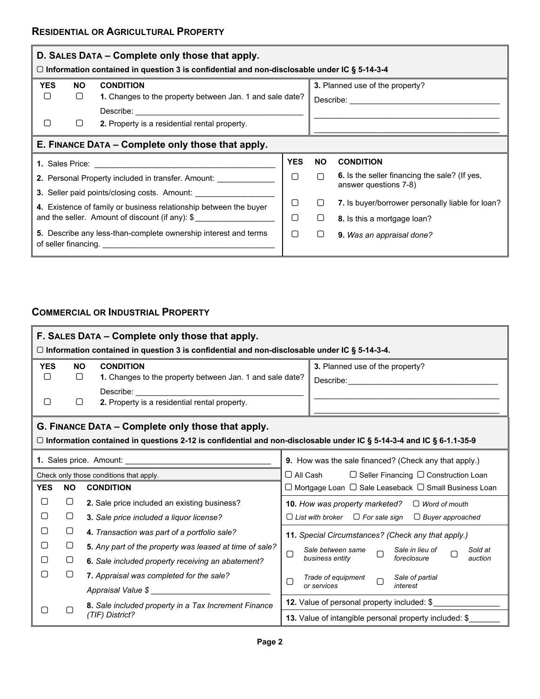| D. SALES DATA – Complete only those that apply.<br>□ Information contained in question 3 is confidential and non-disclosable under IC § 5-14-3-4 |                                                   |                                                                                                                                                    |            |           |                                                                        |  |  |  |
|--------------------------------------------------------------------------------------------------------------------------------------------------|---------------------------------------------------|----------------------------------------------------------------------------------------------------------------------------------------------------|------------|-----------|------------------------------------------------------------------------|--|--|--|
| <b>YES</b>                                                                                                                                       | NO.                                               | <b>CONDITION</b>                                                                                                                                   |            |           | 3. Planned use of the property?                                        |  |  |  |
| ▢                                                                                                                                                | $\Box$                                            | 1. Changes to the property between Jan. 1 and sale date?                                                                                           |            |           | Describe: <u>_____________________</u>                                 |  |  |  |
|                                                                                                                                                  |                                                   |                                                                                                                                                    |            |           |                                                                        |  |  |  |
| ▢                                                                                                                                                | $\Box$                                            | 2. Property is a residential rental property.                                                                                                      |            |           |                                                                        |  |  |  |
|                                                                                                                                                  | E. FINANCE DATA - Complete only those that apply. |                                                                                                                                                    |            |           |                                                                        |  |  |  |
|                                                                                                                                                  |                                                   |                                                                                                                                                    | <b>YES</b> | <b>NO</b> | <b>CONDITION</b>                                                       |  |  |  |
| ∩<br>2. Personal Property included in transfer. Amount: __________                                                                               |                                                   |                                                                                                                                                    |            | ∩         | 6. Is the seller financing the sale? (If yes,<br>answer questions 7-8) |  |  |  |
|                                                                                                                                                  |                                                   | 3. Seller paid points/closing costs. Amount: __________                                                                                            |            |           |                                                                        |  |  |  |
| ∩<br>4. Existence of family or business relationship between the buyer                                                                           |                                                   |                                                                                                                                                    |            |           | 7. Is buyer/borrower personally liable for loan?                       |  |  |  |
| and the seller. Amount of discount (if any): \$<br>О                                                                                             |                                                   |                                                                                                                                                    |            |           | 8. Is this a mortgage loan?                                            |  |  |  |
| of seller financing.                                                                                                                             |                                                   | 5. Describe any less-than-complete ownership interest and terms<br>the contract of the contract of the contract of the contract of the contract of | ∩          | U         | 9. Was an appraisal done?                                              |  |  |  |

## **COMMERCIAL OR INDUSTRIAL PROPERTY**

| F. SALES DATA - Complete only those that apply.<br>$\Box$ Information contained in question 3 is confidential and non-disclosable under IC § 5-14-3-4. |                                                                                                                                                                            |                                                                                                                                                                                                                               |                                                                     |  |  |  |  |  |
|--------------------------------------------------------------------------------------------------------------------------------------------------------|----------------------------------------------------------------------------------------------------------------------------------------------------------------------------|-------------------------------------------------------------------------------------------------------------------------------------------------------------------------------------------------------------------------------|---------------------------------------------------------------------|--|--|--|--|--|
| <b>YES</b>                                                                                                                                             | <b>NO</b>                                                                                                                                                                  | <b>CONDITION</b>                                                                                                                                                                                                              | 3. Planned use of the property?                                     |  |  |  |  |  |
| ∩                                                                                                                                                      | $\Box$                                                                                                                                                                     | 1. Changes to the property between Jan. 1 and sale date?                                                                                                                                                                      |                                                                     |  |  |  |  |  |
|                                                                                                                                                        |                                                                                                                                                                            | Describe: when the control of the control of the control of the control of the control of the control of the control of the control of the control of the control of the control of the control of the control of the control |                                                                     |  |  |  |  |  |
| О                                                                                                                                                      | ∩                                                                                                                                                                          | 2. Property is a residential rental property.                                                                                                                                                                                 |                                                                     |  |  |  |  |  |
|                                                                                                                                                        | G. FINANCE DATA – Complete only those that apply.<br>□ Information contained in questions 2-12 is confidential and non-disclosable under IC § 5-14-3-4 and IC § 6-1.1-35-9 |                                                                                                                                                                                                                               |                                                                     |  |  |  |  |  |
|                                                                                                                                                        |                                                                                                                                                                            |                                                                                                                                                                                                                               | 9. How was the sale financed? (Check any that apply.)               |  |  |  |  |  |
|                                                                                                                                                        |                                                                                                                                                                            | Check only those conditions that apply.                                                                                                                                                                                       | $\Box$ All Cash<br>$\Box$ Seller Financing $\Box$ Construction Loan |  |  |  |  |  |
| <b>YES</b><br><b>NO</b><br><b>CONDITION</b>                                                                                                            |                                                                                                                                                                            |                                                                                                                                                                                                                               | □ Mortgage Loan □ Sale Leaseback □ Small Business Loan              |  |  |  |  |  |
| □                                                                                                                                                      | $\cup$                                                                                                                                                                     | 2. Sale price included an existing business?<br><b>10.</b> How was property marketed?<br>$\Box$ Word of mouth                                                                                                                 |                                                                     |  |  |  |  |  |
| ∩                                                                                                                                                      | $\Box$                                                                                                                                                                     | $\Box$ List with broker $\Box$ For sale sign<br>3. Sale price included a liquor license?<br>$\Box$ Buyer approached                                                                                                           |                                                                     |  |  |  |  |  |
| ∩                                                                                                                                                      | □                                                                                                                                                                          | 4. Transaction was part of a portfolio sale?                                                                                                                                                                                  | 11. Special Circumstances? (Check any that apply.)                  |  |  |  |  |  |
| ∩                                                                                                                                                      | $\Box$<br>5. Any part of the property was leased at time of sale?                                                                                                          |                                                                                                                                                                                                                               | Sale between same<br>Sale in lieu of<br>Sold at                     |  |  |  |  |  |
| ∩                                                                                                                                                      | □                                                                                                                                                                          | 6. Sale included property receiving an abatement?                                                                                                                                                                             | ▢<br>П<br>business entity<br>foreclosure<br>auction                 |  |  |  |  |  |
| □                                                                                                                                                      | O                                                                                                                                                                          | 7. Appraisal was completed for the sale?                                                                                                                                                                                      | Trade of equipment<br>Sale of partial                               |  |  |  |  |  |
|                                                                                                                                                        |                                                                                                                                                                            |                                                                                                                                                                                                                               | ∩<br>∩<br>or services<br>interest                                   |  |  |  |  |  |
|                                                                                                                                                        |                                                                                                                                                                            | 8. Sale included property in a Tax Increment Finance                                                                                                                                                                          | 12. Value of personal property included: \$                         |  |  |  |  |  |
|                                                                                                                                                        |                                                                                                                                                                            | (TIF) District?                                                                                                                                                                                                               | 13. Value of intangible personal property included: \$              |  |  |  |  |  |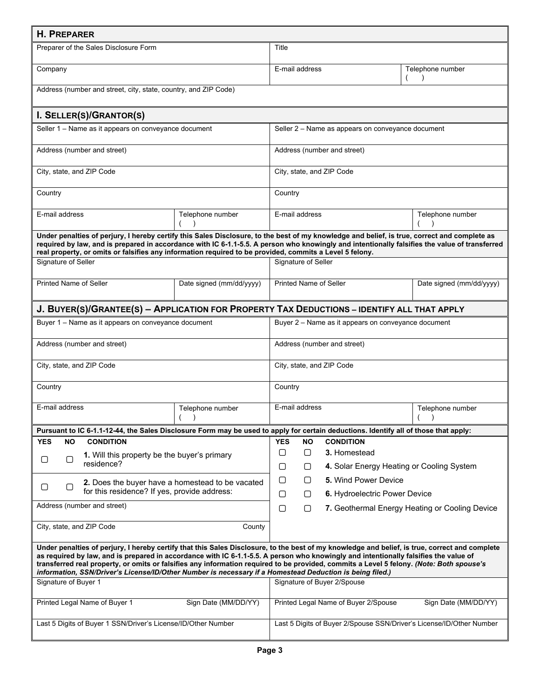| <b>H. PREPARER</b>                                                                                                                                                                                                                                                                                                                                                                                                                                                                                                                             |                                                              |                                                                                            |                                                   |                                                                      |                                                |  |  |
|------------------------------------------------------------------------------------------------------------------------------------------------------------------------------------------------------------------------------------------------------------------------------------------------------------------------------------------------------------------------------------------------------------------------------------------------------------------------------------------------------------------------------------------------|--------------------------------------------------------------|--------------------------------------------------------------------------------------------|---------------------------------------------------|----------------------------------------------------------------------|------------------------------------------------|--|--|
| Preparer of the Sales Disclosure Form                                                                                                                                                                                                                                                                                                                                                                                                                                                                                                          |                                                              |                                                                                            | Title                                             |                                                                      |                                                |  |  |
| Company                                                                                                                                                                                                                                                                                                                                                                                                                                                                                                                                        |                                                              |                                                                                            | E-mail address                                    |                                                                      | Telephone number                               |  |  |
| Address (number and street, city, state, country, and ZIP Code)                                                                                                                                                                                                                                                                                                                                                                                                                                                                                |                                                              |                                                                                            |                                                   |                                                                      |                                                |  |  |
| I. SELLER(S)/GRANTOR(S)                                                                                                                                                                                                                                                                                                                                                                                                                                                                                                                        |                                                              |                                                                                            |                                                   |                                                                      |                                                |  |  |
| Seller 1 - Name as it appears on conveyance document                                                                                                                                                                                                                                                                                                                                                                                                                                                                                           |                                                              |                                                                                            | Seller 2 – Name as appears on conveyance document |                                                                      |                                                |  |  |
| Address (number and street)                                                                                                                                                                                                                                                                                                                                                                                                                                                                                                                    |                                                              |                                                                                            |                                                   | Address (number and street)                                          |                                                |  |  |
| City, state, and ZIP Code                                                                                                                                                                                                                                                                                                                                                                                                                                                                                                                      |                                                              |                                                                                            |                                                   | City, state, and ZIP Code                                            |                                                |  |  |
| Country                                                                                                                                                                                                                                                                                                                                                                                                                                                                                                                                        |                                                              | Country                                                                                    |                                                   |                                                                      |                                                |  |  |
| E-mail address                                                                                                                                                                                                                                                                                                                                                                                                                                                                                                                                 | Telephone number                                             |                                                                                            | E-mail address                                    |                                                                      | Telephone number                               |  |  |
| Under penalties of perjury, I hereby certify this Sales Disclosure, to the best of my knowledge and belief, is true, correct and complete as<br>required by law, and is prepared in accordance with IC 6-1.1-5.5. A person who knowingly and intentionally falsifies the value of transferred<br>real property, or omits or falsifies any information required to be provided, commits a Level 5 felony.                                                                                                                                       |                                                              |                                                                                            |                                                   |                                                                      |                                                |  |  |
| Signature of Seller                                                                                                                                                                                                                                                                                                                                                                                                                                                                                                                            |                                                              |                                                                                            | Signature of Seller                               |                                                                      |                                                |  |  |
| <b>Printed Name of Seller</b>                                                                                                                                                                                                                                                                                                                                                                                                                                                                                                                  | Date signed (mm/dd/yyyy)                                     |                                                                                            |                                                   | <b>Printed Name of Seller</b>                                        | Date signed (mm/dd/yyyy)                       |  |  |
|                                                                                                                                                                                                                                                                                                                                                                                                                                                                                                                                                |                                                              | J. BUYER(S)/GRANTEE(S) - APPLICATION FOR PROPERTY TAX DEDUCTIONS - IDENTIFY ALL THAT APPLY |                                                   |                                                                      |                                                |  |  |
| Buyer 1 – Name as it appears on conveyance document                                                                                                                                                                                                                                                                                                                                                                                                                                                                                            |                                                              | Buyer 2 – Name as it appears on conveyance document                                        |                                                   |                                                                      |                                                |  |  |
| Address (number and street)                                                                                                                                                                                                                                                                                                                                                                                                                                                                                                                    |                                                              |                                                                                            | Address (number and street)                       |                                                                      |                                                |  |  |
| City, state, and ZIP Code                                                                                                                                                                                                                                                                                                                                                                                                                                                                                                                      |                                                              | City, state, and ZIP Code                                                                  |                                                   |                                                                      |                                                |  |  |
| Country                                                                                                                                                                                                                                                                                                                                                                                                                                                                                                                                        |                                                              | Country                                                                                    |                                                   |                                                                      |                                                |  |  |
| E-mail address                                                                                                                                                                                                                                                                                                                                                                                                                                                                                                                                 | Telephone number                                             |                                                                                            | E-mail address                                    |                                                                      | Telephone number                               |  |  |
| Pursuant to IC 6-1.1-12-44, the Sales Disclosure Form may be used to apply for certain deductions. Identify all of those that apply:                                                                                                                                                                                                                                                                                                                                                                                                           |                                                              |                                                                                            |                                                   |                                                                      |                                                |  |  |
| <b>NO</b><br><b>CONDITION</b><br>YES                                                                                                                                                                                                                                                                                                                                                                                                                                                                                                           |                                                              | <b>YES</b>                                                                                 | <b>NO</b>                                         | <b>CONDITION</b>                                                     |                                                |  |  |
| 1. Will this property be the buyer's primary<br>О<br>О<br>residence?                                                                                                                                                                                                                                                                                                                                                                                                                                                                           |                                                              | $\Box$                                                                                     | $\Box$                                            | 3. Homestead                                                         |                                                |  |  |
|                                                                                                                                                                                                                                                                                                                                                                                                                                                                                                                                                |                                                              | $\Box$                                                                                     | $\Box$                                            | 4. Solar Energy Heating or Cooling System                            |                                                |  |  |
| $\Box$<br>O                                                                                                                                                                                                                                                                                                                                                                                                                                                                                                                                    | 2. Does the buyer have a homestead to be vacated             | $\Box$                                                                                     | 0                                                 | <b>5.</b> Wind Power Device                                          |                                                |  |  |
| for this residence? If yes, provide address:                                                                                                                                                                                                                                                                                                                                                                                                                                                                                                   |                                                              | $\Box$                                                                                     | $\Box$                                            | 6. Hydroelectric Power Device                                        |                                                |  |  |
| Address (number and street)                                                                                                                                                                                                                                                                                                                                                                                                                                                                                                                    |                                                              |                                                                                            | 0                                                 |                                                                      | 7. Geothermal Energy Heating or Cooling Device |  |  |
| City, state, and ZIP Code<br>County                                                                                                                                                                                                                                                                                                                                                                                                                                                                                                            |                                                              |                                                                                            |                                                   |                                                                      |                                                |  |  |
| Under penalties of perjury, I hereby certify that this Sales Disclosure, to the best of my knowledge and belief, is true, correct and complete<br>as required by law, and is prepared in accordance with IC 6-1.1-5.5. A person who knowingly and intentionally falsifies the value of<br>transferred real property, or omits or falsifies any information required to be provided, commits a Level 5 felony. (Note: Both spouse's<br>information, SSN/Driver's License/ID/Other Number is necessary if a Homestead Deduction is being filed.) |                                                              |                                                                                            |                                                   |                                                                      |                                                |  |  |
| Signature of Buyer 1                                                                                                                                                                                                                                                                                                                                                                                                                                                                                                                           |                                                              |                                                                                            | Signature of Buyer 2/Spouse                       |                                                                      |                                                |  |  |
| Printed Legal Name of Buyer 1                                                                                                                                                                                                                                                                                                                                                                                                                                                                                                                  | Printed Legal Name of Buyer 2/Spouse<br>Sign Date (MM/DD/YY) |                                                                                            |                                                   |                                                                      |                                                |  |  |
| Last 5 Digits of Buyer 1 SSN/Driver's License/ID/Other Number                                                                                                                                                                                                                                                                                                                                                                                                                                                                                  |                                                              |                                                                                            |                                                   | Last 5 Digits of Buyer 2/Spouse SSN/Driver's License/ID/Other Number |                                                |  |  |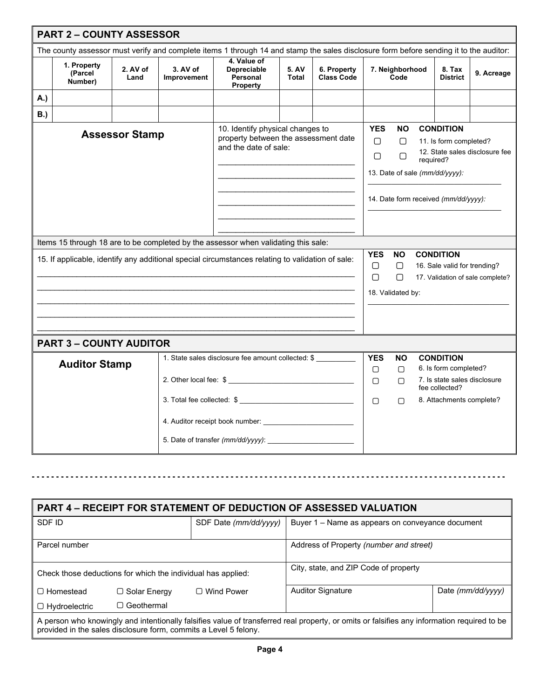|            | <b>PART 2 - COUNTY ASSESSOR</b>                                                                                                       |                       |                         |                                                                                                                                                                                                                                        |                |                                  |                                |                                                    |                                                                                             |                                                  |                                  |
|------------|---------------------------------------------------------------------------------------------------------------------------------------|-----------------------|-------------------------|----------------------------------------------------------------------------------------------------------------------------------------------------------------------------------------------------------------------------------------|----------------|----------------------------------|--------------------------------|----------------------------------------------------|---------------------------------------------------------------------------------------------|--------------------------------------------------|----------------------------------|
|            | The county assessor must verify and complete items 1 through 14 and stamp the sales disclosure form before sending it to the auditor: |                       |                         |                                                                                                                                                                                                                                        |                |                                  |                                |                                                    |                                                                                             |                                                  |                                  |
|            | 1. Property<br>(Parcel<br>Number)                                                                                                     | 2. AV of<br>Land      | 3. AV of<br>Improvement | 4. Value of<br><b>Depreciable</b><br>Personal<br><b>Property</b>                                                                                                                                                                       | 5. AV<br>Total | 6. Property<br><b>Class Code</b> | 7. Neighborhood<br>Code        |                                                    |                                                                                             | 8. Tax<br><b>District</b>                        | 9. Acreage                       |
| A.)        |                                                                                                                                       |                       |                         |                                                                                                                                                                                                                                        |                |                                  |                                |                                                    |                                                                                             |                                                  |                                  |
| <b>B.)</b> |                                                                                                                                       |                       |                         |                                                                                                                                                                                                                                        |                |                                  |                                |                                                    |                                                                                             |                                                  |                                  |
|            |                                                                                                                                       | <b>Assessor Stamp</b> |                         | <b>YES</b><br>10. Identify physical changes to<br>NO.<br>property between the assessment date<br>∩<br>∩<br>and the date of sale:<br>∩<br>$\Box$<br>required?<br>13. Date of sale (mm/dd/yyyy):<br>14. Date form received (mm/dd/yyyy): |                |                                  |                                | <b>CONDITION</b><br>11. Is form completed?         | 12. State sales disclosure fee                                                              |                                                  |                                  |
|            |                                                                                                                                       |                       |                         | Items 15 through 18 are to be completed by the assessor when validating this sale:                                                                                                                                                     |                |                                  |                                |                                                    |                                                                                             |                                                  |                                  |
|            |                                                                                                                                       |                       |                         | 15. If applicable, identify any additional special circumstances relating to validation of sale:                                                                                                                                       |                |                                  | <b>YES</b><br>$\Box$<br>$\Box$ | <b>NO</b><br>$\Box$<br>$\Box$<br>18. Validated by: |                                                                                             | <b>CONDITION</b><br>16. Sale valid for trending? | 17. Validation of sale complete? |
|            |                                                                                                                                       |                       |                         |                                                                                                                                                                                                                                        |                |                                  |                                |                                                    |                                                                                             |                                                  |                                  |
|            | <b>PART 3 - COUNTY AUDITOR</b>                                                                                                        |                       |                         |                                                                                                                                                                                                                                        |                |                                  |                                |                                                    |                                                                                             |                                                  |                                  |
|            | 1. State sales disclosure fee amount collected: \$<br><b>Auditor Stamp</b>                                                            |                       |                         |                                                                                                                                                                                                                                        |                | <b>YES</b><br>$\Box$<br>$\Box$   | NΟ<br>$\Box$<br>∩              |                                                    | <b>CONDITION</b><br>6. Is form completed?<br>7. Is state sales disclosure<br>fee collected? |                                                  |                                  |
|            | 3. Total fee collected: \$                                                                                                            |                       |                         |                                                                                                                                                                                                                                        |                | $\Box$                           | ∩                              |                                                    | 8. Attachments complete?                                                                    |                                                  |                                  |
|            |                                                                                                                                       |                       |                         |                                                                                                                                                                                                                                        |                |                                  |                                |                                                    |                                                                                             |                                                  |                                  |

| <b>PART 4 - RECEIPT FOR STATEMENT OF DEDUCTION OF ASSESSED VALUATION</b>                                                                                                                                        |                   |                       |                                                  |                   |  |  |  |
|-----------------------------------------------------------------------------------------------------------------------------------------------------------------------------------------------------------------|-------------------|-----------------------|--------------------------------------------------|-------------------|--|--|--|
| SDF ID                                                                                                                                                                                                          |                   | SDF Date (mm/dd/yyyy) | Buyer 1 – Name as appears on conveyance document |                   |  |  |  |
|                                                                                                                                                                                                                 |                   |                       |                                                  |                   |  |  |  |
| Parcel number                                                                                                                                                                                                   |                   |                       | Address of Property (number and street)          |                   |  |  |  |
|                                                                                                                                                                                                                 |                   |                       |                                                  |                   |  |  |  |
| Check those deductions for which the individual has applied:                                                                                                                                                    |                   |                       | City, state, and ZIP Code of property            |                   |  |  |  |
|                                                                                                                                                                                                                 |                   |                       |                                                  |                   |  |  |  |
| □ Homestead<br>□ Wind Power<br>$\Box$ Solar Energy                                                                                                                                                              |                   |                       | <b>Auditor Signature</b>                         | Date (mm/dd/yyyy) |  |  |  |
| $\Box$ Hydroelectric                                                                                                                                                                                            | $\Box$ Geothermal |                       |                                                  |                   |  |  |  |
| A person who knowingly and intentionally falsifies value of transferred real property, or omits or falsifies any information required to be<br>provided in the sales disclosure form, commits a Level 5 felony. |                   |                       |                                                  |                   |  |  |  |

**- - - - - - - - - - - - - - - - - - - - - - - - - - - - - - - - - - - - - - - - - - - - - - - - - - - - - - - - - - - - - - - - - - - - - - - - - - - - - - - - - - - - - - - - - - - - - - - - - -**